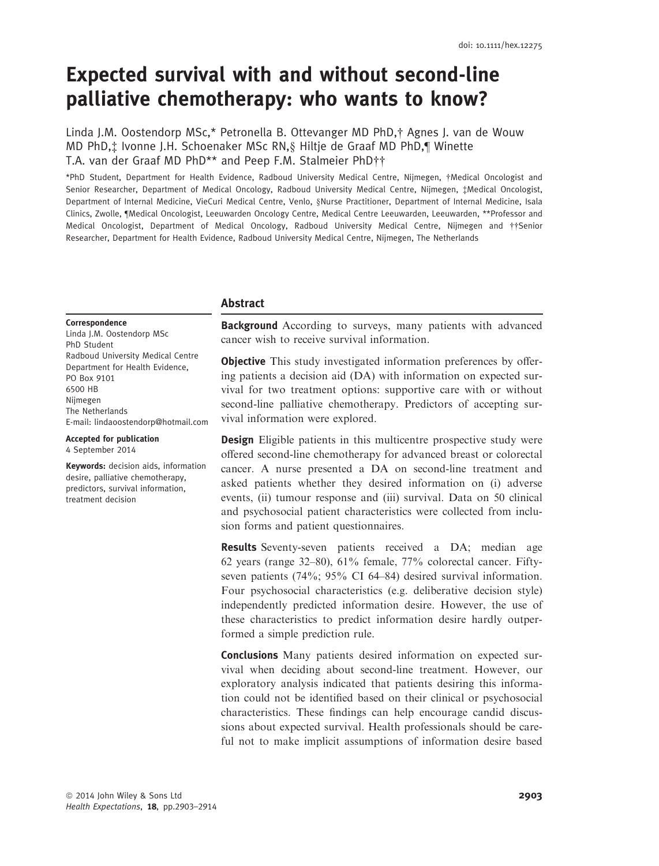# Expected survival with and without second-line palliative chemotherapy: who wants to know?

Linda J.M. Oostendorp MSc,\* Petronella B. Ottevanger MD PhD,† Agnes J. van de Wouw MD PhD,‡ Ivonne J.H. Schoenaker MSc RN,§ Hiltje de Graaf MD PhD,¶ Winette T.A. van der Graaf MD PhD\*\* and Peep F.M. Stalmeier PhD††

\*PhD Student, Department for Health Evidence, Radboud University Medical Centre, Nijmegen, †Medical Oncologist and Senior Researcher, Department of Medical Oncology, Radboud University Medical Centre, Nijmegen, ‡Medical Oncologist, Department of Internal Medicine, VieCuri Medical Centre, Venlo, §Nurse Practitioner, Department of Internal Medicine, Isala Clinics, Zwolle, ¶Medical Oncologist, Leeuwarden Oncology Centre, Medical Centre Leeuwarden, Leeuwarden, \*\*Professor and Medical Oncologist, Department of Medical Oncology, Radboud University Medical Centre, Nijmegen and ††Senior Researcher, Department for Health Evidence, Radboud University Medical Centre, Nijmegen, The Netherlands

## Abstract

Correspondence

Linda J.M. Oostendorp MSc PhD Student Radboud University Medical Centre Department for Health Evidence, PO Box 9101 6500 HB Nijmegen The Netherlands E-mail: lindaoostendorp@hotmail.com

Accepted for publication 4 September 2014

Keywords: decision aids, information desire, palliative chemotherapy, predictors, survival information, treatment decision

**Background** According to surveys, many patients with advanced cancer wish to receive survival information.

**Objective** This study investigated information preferences by offering patients a decision aid (DA) with information on expected survival for two treatment options: supportive care with or without second-line palliative chemotherapy. Predictors of accepting survival information were explored.

**Design** Eligible patients in this multicentre prospective study were offered second-line chemotherapy for advanced breast or colorectal cancer. A nurse presented a DA on second-line treatment and asked patients whether they desired information on (i) adverse events, (ii) tumour response and (iii) survival. Data on 50 clinical and psychosocial patient characteristics were collected from inclusion forms and patient questionnaires.

Results Seventy-seven patients received a DA; median age 62 years (range 32–80), 61% female, 77% colorectal cancer. Fiftyseven patients (74%; 95% CI 64–84) desired survival information. Four psychosocial characteristics (e.g. deliberative decision style) independently predicted information desire. However, the use of these characteristics to predict information desire hardly outperformed a simple prediction rule.

Conclusions Many patients desired information on expected survival when deciding about second-line treatment. However, our exploratory analysis indicated that patients desiring this information could not be identified based on their clinical or psychosocial characteristics. These findings can help encourage candid discussions about expected survival. Health professionals should be careful not to make implicit assumptions of information desire based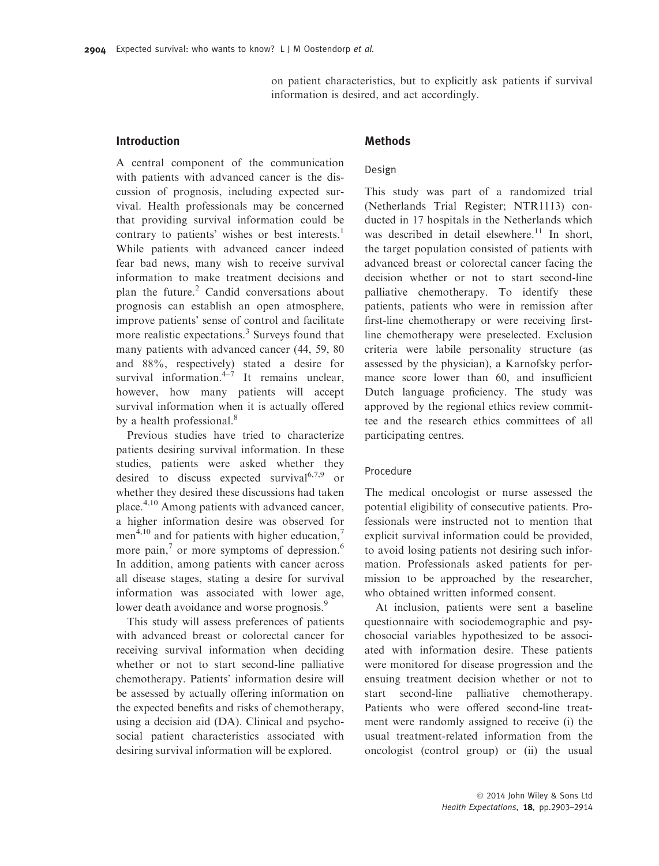on patient characteristics, but to explicitly ask patients if survival information is desired, and act accordingly.

## Introduction

A central component of the communication with patients with advanced cancer is the discussion of prognosis, including expected survival. Health professionals may be concerned that providing survival information could be contrary to patients' wishes or best interests.<sup>1</sup> While patients with advanced cancer indeed fear bad news, many wish to receive survival information to make treatment decisions and plan the future.<sup>2</sup> Candid conversations about prognosis can establish an open atmosphere, improve patients' sense of control and facilitate more realistic expectations.<sup>3</sup> Surveys found that many patients with advanced cancer (44, 59, 80 and 88%, respectively) stated a desire for survival information. $4-7$  It remains unclear, however, how many patients will accept survival information when it is actually offered by a health professional.<sup>8</sup>

Previous studies have tried to characterize patients desiring survival information. In these studies, patients were asked whether they desired to discuss expected survival<sup>6,7,9</sup> or whether they desired these discussions had taken place.4,10 Among patients with advanced cancer, a higher information desire was observed for men<sup>4,10</sup> and for patients with higher education, $\frac{7}{1}$ more pain, $\frac{7}{1}$  or more symptoms of depression.<sup>6</sup> In addition, among patients with cancer across all disease stages, stating a desire for survival information was associated with lower age, lower death avoidance and worse prognosis.<sup>9</sup>

This study will assess preferences of patients with advanced breast or colorectal cancer for receiving survival information when deciding whether or not to start second-line palliative chemotherapy. Patients' information desire will be assessed by actually offering information on the expected benefits and risks of chemotherapy, using a decision aid (DA). Clinical and psychosocial patient characteristics associated with desiring survival information will be explored.

# Methods

## Design

This study was part of a randomized trial (Netherlands Trial Register; NTR1113) conducted in 17 hospitals in the Netherlands which was described in detail elsewhere.<sup>11</sup> In short, the target population consisted of patients with advanced breast or colorectal cancer facing the decision whether or not to start second-line palliative chemotherapy. To identify these patients, patients who were in remission after first-line chemotherapy or were receiving firstline chemotherapy were preselected. Exclusion criteria were labile personality structure (as assessed by the physician), a Karnofsky performance score lower than 60, and insufficient Dutch language proficiency. The study was approved by the regional ethics review committee and the research ethics committees of all participating centres.

## Procedure

The medical oncologist or nurse assessed the potential eligibility of consecutive patients. Professionals were instructed not to mention that explicit survival information could be provided, to avoid losing patients not desiring such information. Professionals asked patients for permission to be approached by the researcher, who obtained written informed consent.

At inclusion, patients were sent a baseline questionnaire with sociodemographic and psychosocial variables hypothesized to be associated with information desire. These patients were monitored for disease progression and the ensuing treatment decision whether or not to start second-line palliative chemotherapy. Patients who were offered second-line treatment were randomly assigned to receive (i) the usual treatment-related information from the oncologist (control group) or (ii) the usual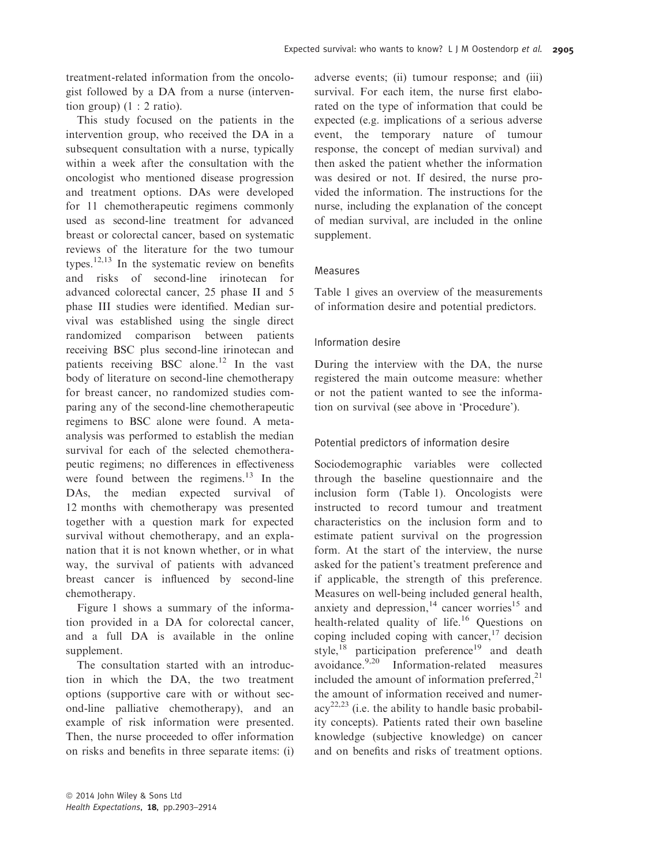treatment-related information from the oncologist followed by a DA from a nurse (intervention group) (1 : 2 ratio).

This study focused on the patients in the intervention group, who received the DA in a subsequent consultation with a nurse, typically within a week after the consultation with the oncologist who mentioned disease progression and treatment options. DAs were developed for 11 chemotherapeutic regimens commonly used as second-line treatment for advanced breast or colorectal cancer, based on systematic reviews of the literature for the two tumour types.<sup>12,13</sup> In the systematic review on benefits and risks of second-line irinotecan for advanced colorectal cancer, 25 phase II and 5 phase III studies were identified. Median survival was established using the single direct randomized comparison between patients receiving BSC plus second-line irinotecan and patients receiving BSC alone.<sup>12</sup> In the vast body of literature on second-line chemotherapy for breast cancer, no randomized studies comparing any of the second-line chemotherapeutic regimens to BSC alone were found. A metaanalysis was performed to establish the median survival for each of the selected chemotherapeutic regimens; no differences in effectiveness were found between the regimens. $13$  In the DAs, the median expected survival of 12 months with chemotherapy was presented together with a question mark for expected survival without chemotherapy, and an explanation that it is not known whether, or in what way, the survival of patients with advanced breast cancer is influenced by second-line chemotherapy.

Figure 1 shows a summary of the information provided in a DA for colorectal cancer, and a full DA is available in the online supplement.

The consultation started with an introduction in which the DA, the two treatment options (supportive care with or without second-line palliative chemotherapy), and an example of risk information were presented. Then, the nurse proceeded to offer information on risks and benefits in three separate items: (i) adverse events; (ii) tumour response; and (iii) survival. For each item, the nurse first elaborated on the type of information that could be expected (e.g. implications of a serious adverse event, the temporary nature of tumour response, the concept of median survival) and then asked the patient whether the information was desired or not. If desired, the nurse provided the information. The instructions for the nurse, including the explanation of the concept of median survival, are included in the online supplement.

## Measures

Table 1 gives an overview of the measurements of information desire and potential predictors.

# Information desire

During the interview with the DA, the nurse registered the main outcome measure: whether or not the patient wanted to see the information on survival (see above in 'Procedure').

## Potential predictors of information desire

Sociodemographic variables were collected through the baseline questionnaire and the inclusion form (Table 1). Oncologists were instructed to record tumour and treatment characteristics on the inclusion form and to estimate patient survival on the progression form. At the start of the interview, the nurse asked for the patient's treatment preference and if applicable, the strength of this preference. Measures on well-being included general health, anxiety and depression,<sup>14</sup> cancer worries<sup>15</sup> and health-related quality of life.<sup>16</sup> Ouestions on coping included coping with cancer, $17$  decision style, $^{18}$  participation preference<sup>19</sup> and death avoidance.9,20 Information-related measures included the amount of information preferred,<sup>21</sup> the amount of information received and numer- $\text{acy}^{22,23}$  (i.e. the ability to handle basic probability concepts). Patients rated their own baseline knowledge (subjective knowledge) on cancer and on benefits and risks of treatment options.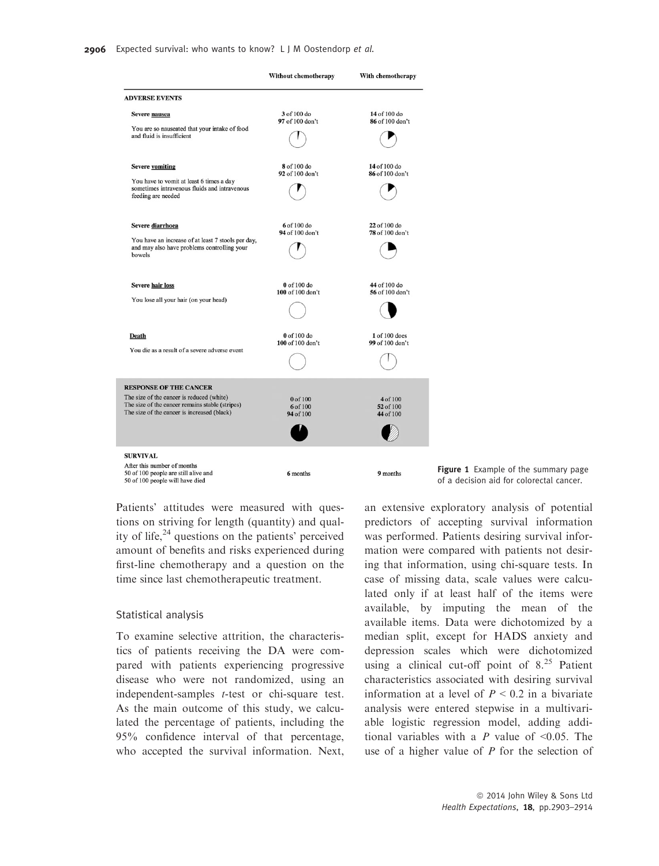|                                                                                                                                             | Without chemotherapy              | With chemotherapy                  |                                                                                  |
|---------------------------------------------------------------------------------------------------------------------------------------------|-----------------------------------|------------------------------------|----------------------------------------------------------------------------------|
| <b>ADVERSE EVENTS</b>                                                                                                                       |                                   |                                    |                                                                                  |
| Severe nausea                                                                                                                               | 3 of 100 do<br>97 of 100 don't    | 14 of 100 do<br>86 of 100 don't    |                                                                                  |
| You are so nauseated that your intake of food<br>and fluid is insufficient                                                                  |                                   |                                    |                                                                                  |
| <b>Severe yomiting</b>                                                                                                                      | 8 of 100 do<br>92 of 100 don't    | 14 of 100 do<br>86 of 100 don't    |                                                                                  |
| You have to vomit at least 6 times a day<br>sometimes intravenous fluids and intravenous<br>feeding are needed                              |                                   |                                    |                                                                                  |
| Severe diarrhoea                                                                                                                            | 6 of 100 do<br>94 of 100 don't    | 22 of 100 do<br>78 of 100 don't    |                                                                                  |
| You have an increase of at least 7 stools per day,<br>and may also have problems controlling your<br>bowels                                 |                                   |                                    |                                                                                  |
| <b>Severe hair loss</b>                                                                                                                     | 0 of 100 do<br>100 of 100 don't   | 44 of 100 do<br>56 of 100 don't    |                                                                                  |
| You lose all your hair (on your head)                                                                                                       |                                   |                                    |                                                                                  |
| <b>Death</b>                                                                                                                                | 0 of 100 do<br>100 of 100 don't   | 1 of 100 does<br>99 of 100 don't   |                                                                                  |
| You die as a result of a severe adverse event                                                                                               |                                   |                                    |                                                                                  |
| <b>RESPONSE OF THE CANCER</b>                                                                                                               |                                   |                                    |                                                                                  |
| The size of the cancer is reduced (white)<br>The size of the cancer remains stable (stripes)<br>The size of the cancer is increased (black) | 0 of 100<br>6 of 100<br>94 of 100 | 4 of 100<br>52 of 100<br>44 of 100 |                                                                                  |
|                                                                                                                                             |                                   |                                    |                                                                                  |
| <b>SURVIVAL</b>                                                                                                                             |                                   |                                    |                                                                                  |
| After this number of months<br>50 of 100 people are still alive and<br>50 of 100 people will have died                                      | 6 months                          | 9 months                           | Figure 1 Example of the summary page<br>of a decision aid for colorectal cancer. |

Patients' attitudes were measured with questions on striving for length (quantity) and quality of life, $^{24}$  questions on the patients' perceived amount of benefits and risks experienced during first-line chemotherapy and a question on the time since last chemotherapeutic treatment.

## Statistical analysis

To examine selective attrition, the characteristics of patients receiving the DA were compared with patients experiencing progressive disease who were not randomized, using an independent-samples t-test or chi-square test. As the main outcome of this study, we calculated the percentage of patients, including the 95% confidence interval of that percentage, who accepted the survival information. Next, an extensive exploratory analysis of potential predictors of accepting survival information was performed. Patients desiring survival information were compared with patients not desiring that information, using chi-square tests. In case of missing data, scale values were calculated only if at least half of the items were available, by imputing the mean of the available items. Data were dichotomized by a median split, except for HADS anxiety and depression scales which were dichotomized using a clinical cut-off point of  $8.^{25}$  Patient characteristics associated with desiring survival information at a level of  $P < 0.2$  in a bivariate analysis were entered stepwise in a multivariable logistic regression model, adding additional variables with a  $P$  value of <0.05. The use of a higher value of  $P$  for the selection of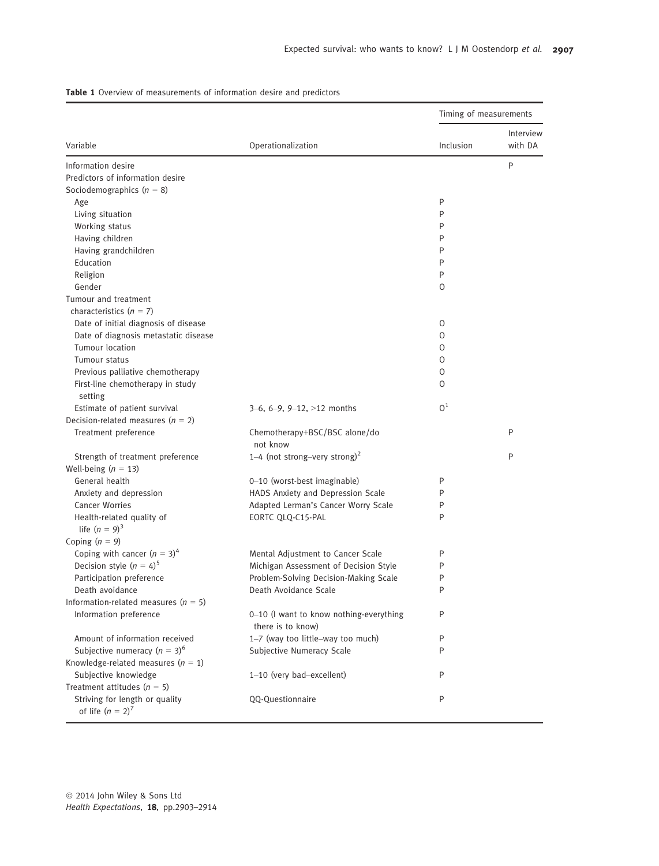|                                                       |                                                              | Timing of measurements |           |  |
|-------------------------------------------------------|--------------------------------------------------------------|------------------------|-----------|--|
|                                                       |                                                              |                        | Interview |  |
| Variable                                              | Operationalization                                           | Inclusion              | with DA   |  |
| Information desire                                    |                                                              |                        | P         |  |
| Predictors of information desire                      |                                                              |                        |           |  |
| Sociodemographics $(n = 8)$                           |                                                              |                        |           |  |
| Age                                                   |                                                              | P                      |           |  |
| Living situation                                      |                                                              | P                      |           |  |
| Working status                                        |                                                              | P                      |           |  |
| Having children                                       |                                                              | P                      |           |  |
| Having grandchildren                                  |                                                              | P                      |           |  |
| Education                                             |                                                              | P                      |           |  |
| Religion                                              |                                                              | P                      |           |  |
| Gender                                                |                                                              | 0                      |           |  |
| Tumour and treatment                                  |                                                              |                        |           |  |
| characteristics $(n = 7)$                             |                                                              |                        |           |  |
| Date of initial diagnosis of disease                  |                                                              | 0                      |           |  |
| Date of diagnosis metastatic disease                  |                                                              | 0                      |           |  |
| Tumour location                                       |                                                              | 0                      |           |  |
| Tumour status                                         |                                                              | 0                      |           |  |
| Previous palliative chemotherapy                      |                                                              | 0                      |           |  |
| First-line chemotherapy in study<br>setting           |                                                              | $\Omega$               |           |  |
| Estimate of patient survival                          | $3-6, 6-9, 9-12, >12$ months                                 | O <sup>1</sup>         |           |  |
| Decision-related measures $(n = 2)$                   |                                                              |                        |           |  |
| Treatment preference                                  | Chemotherapy+BSC/BSC alone/do<br>not know                    |                        | P         |  |
| Strength of treatment preference                      | 1–4 (not strong–very strong) <sup>2</sup>                    |                        | P         |  |
| Well-being $(n = 13)$                                 |                                                              |                        |           |  |
| General health                                        | 0-10 (worst-best imaginable)                                 | P                      |           |  |
| Anxiety and depression                                | HADS Anxiety and Depression Scale                            | P                      |           |  |
| <b>Cancer Worries</b>                                 | Adapted Lerman's Cancer Worry Scale                          | P                      |           |  |
| Health-related quality of                             | EORTC QLQ-C15-PAL                                            | P                      |           |  |
| life $(n = 9)^3$                                      |                                                              |                        |           |  |
| Coping $(n = 9)$                                      |                                                              |                        |           |  |
| Coping with cancer $(n = 3)^4$                        | Mental Adjustment to Cancer Scale                            | P                      |           |  |
| Decision style $(n = 4)^5$                            | Michigan Assessment of Decision Style                        | P                      |           |  |
| Participation preference                              | Problem-Solving Decision-Making Scale                        | P                      |           |  |
| Death avoidance                                       | Death Avoidance Scale                                        | P                      |           |  |
| Information-related measures $(n = 5)$                |                                                              |                        |           |  |
| Information preference                                | 0-10 (I want to know nothing-everything<br>there is to know) | P                      |           |  |
| Amount of information received                        | 1-7 (way too little-way too much)                            | P                      |           |  |
| Subjective numeracy $(n = 3)^6$                       | Subjective Numeracy Scale                                    | P                      |           |  |
| Knowledge-related measures $(n = 1)$                  |                                                              |                        |           |  |
| Subjective knowledge                                  | 1-10 (very bad-excellent)                                    | P                      |           |  |
| Treatment attitudes $(n = 5)$                         |                                                              |                        |           |  |
| Striving for length or quality<br>of life $(n = 2)^7$ | QQ-Questionnaire                                             | P                      |           |  |

Table 1 Overview of measurements of information desire and predictors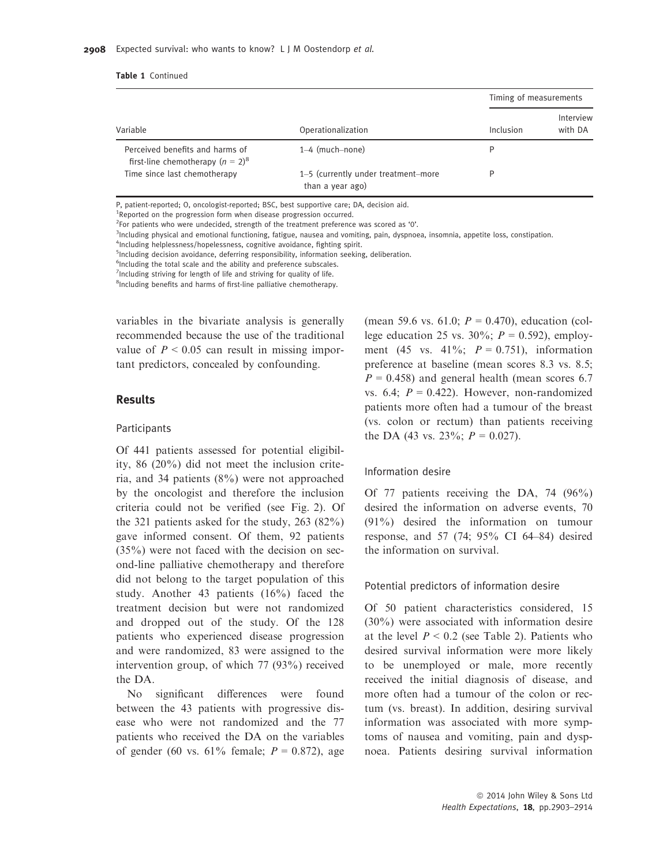|                                                                        |                                                         | Timing of measurements |                      |
|------------------------------------------------------------------------|---------------------------------------------------------|------------------------|----------------------|
| Variable                                                               | Operationalization                                      | Inclusion              | Interview<br>with DA |
| Perceived benefits and harms of<br>first-line chemotherapy $(n = 2)^8$ | $1-4$ (much-none)                                       | D                      |                      |
| Time since last chemotherapy                                           | 1-5 (currently under treatment-more<br>than a year ago) | D                      |                      |

P, patient-reported; O, oncologist-reported; BSC, best supportive care; DA, decision aid.

<sup>1</sup>Reported on the progression form when disease progression occurred.

 $2$ For patients who were undecided, strength of the treatment preference was scored as '0'.

<sup>3</sup>Including physical and emotional functioning, fatigue, nausea and vomiting, pain, dyspnoea, insomnia, appetite loss, constipation.

4 Including helplessness/hopelessness, cognitive avoidance, fighting spirit.

<sup>5</sup>Including decision avoidance, deferring responsibility, information seeking, deliberation.

<sup>6</sup>Including the total scale and the ability and preference subscales.

<sup>7</sup>Including striving for length of life and striving for quality of life.

<sup>8</sup>Including benefits and harms of first-line palliative chemotherapy.

variables in the bivariate analysis is generally recommended because the use of the traditional value of  $P < 0.05$  can result in missing important predictors, concealed by confounding.

# Results

#### Participants

Of 441 patients assessed for potential eligibility, 86 (20%) did not meet the inclusion criteria, and 34 patients (8%) were not approached by the oncologist and therefore the inclusion criteria could not be verified (see Fig. 2). Of the 321 patients asked for the study, 263 (82%) gave informed consent. Of them, 92 patients  $(35\%)$  were not faced with the decision on second-line palliative chemotherapy and therefore did not belong to the target population of this study. Another 43 patients (16%) faced the treatment decision but were not randomized and dropped out of the study. Of the 128 patients who experienced disease progression and were randomized, 83 were assigned to the intervention group, of which 77 (93%) received the DA.

No significant differences were found between the 43 patients with progressive disease who were not randomized and the 77 patients who received the DA on the variables of gender (60 vs. 61% female;  $P = 0.872$ ), age (mean 59.6 vs. 61.0;  $P = 0.470$ ), education (college education 25 vs. 30%;  $P = 0.592$ ), employment (45 vs. 41%;  $P = 0.751$ ), information preference at baseline (mean scores 8.3 vs. 8.5;  $P = 0.458$ ) and general health (mean scores 6.7 vs. 6.4;  $P = 0.422$ ). However, non-randomized patients more often had a tumour of the breast (vs. colon or rectum) than patients receiving the DA (43 vs. 23%;  $P = 0.027$ ).

## Information desire

Of 77 patients receiving the DA, 74 (96%) desired the information on adverse events, 70 (91%) desired the information on tumour response, and 57 (74; 95% CI 64–84) desired the information on survival.

## Potential predictors of information desire

Of 50 patient characteristics considered, 15 (30%) were associated with information desire at the level  $P < 0.2$  (see Table 2). Patients who desired survival information were more likely to be unemployed or male, more recently received the initial diagnosis of disease, and more often had a tumour of the colon or rectum (vs. breast). In addition, desiring survival information was associated with more symptoms of nausea and vomiting, pain and dyspnoea. Patients desiring survival information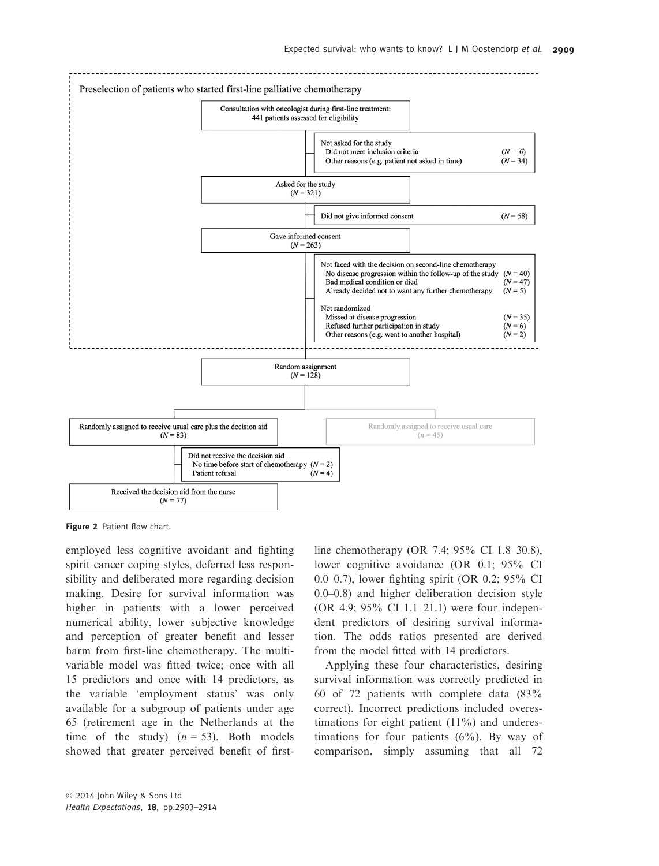

Figure 2 Patient flow chart.

employed less cognitive avoidant and fighting spirit cancer coping styles, deferred less responsibility and deliberated more regarding decision making. Desire for survival information was higher in patients with a lower perceived numerical ability, lower subjective knowledge and perception of greater benefit and lesser harm from first-line chemotherapy. The multivariable model was fitted twice; once with all 15 predictors and once with 14 predictors, as the variable 'employment status' was only available for a subgroup of patients under age 65 (retirement age in the Netherlands at the time of the study)  $(n = 53)$ . Both models showed that greater perceived benefit of firstline chemotherapy (OR 7.4; 95% CI 1.8–30.8), lower cognitive avoidance (OR 0.1; 95% CI 0.0–0.7), lower fighting spirit (OR 0.2; 95% CI 0.0–0.8) and higher deliberation decision style (OR 4.9; 95% CI 1.1–21.1) were four independent predictors of desiring survival information. The odds ratios presented are derived from the model fitted with 14 predictors.

Applying these four characteristics, desiring survival information was correctly predicted in 60 of 72 patients with complete data (83% correct). Incorrect predictions included overestimations for eight patient  $(11\%)$  and underestimations for four patients  $(6%)$ . By way of comparison, simply assuming that all 72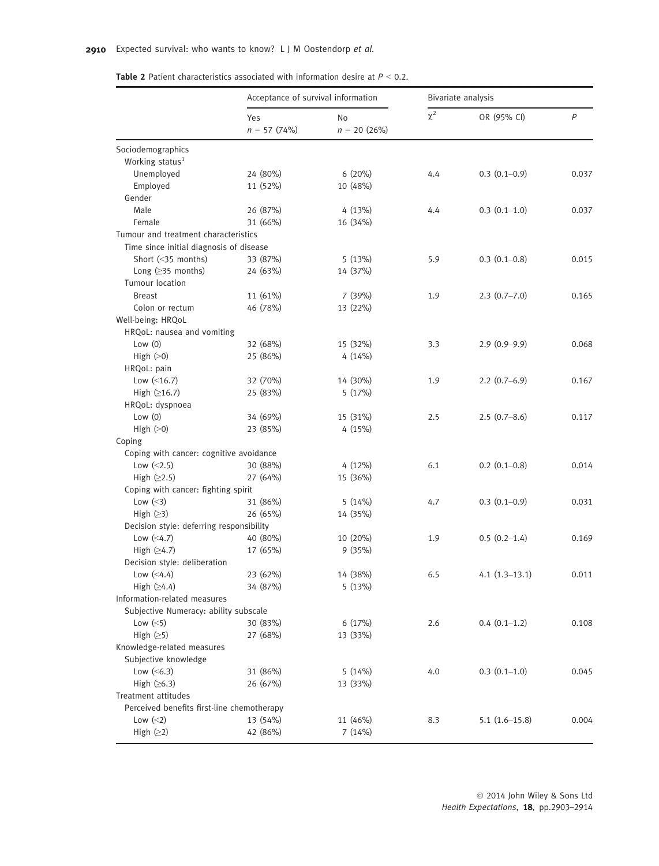| <b>Table 2</b> Patient characteristics associated with information desire at $P < 0.2$ . |  |
|------------------------------------------------------------------------------------------|--|
|------------------------------------------------------------------------------------------|--|

|                                            | Acceptance of survival information |                      | Bivariate analysis |                   |       |
|--------------------------------------------|------------------------------------|----------------------|--------------------|-------------------|-------|
|                                            | Yes<br>$n = 57$ (74%)              | No<br>$n = 20 (26%)$ | $\chi^2$           | OR (95% CI)       | P     |
| Sociodemographics                          |                                    |                      |                    |                   |       |
| Working status <sup>1</sup>                |                                    |                      |                    |                   |       |
| Unemployed                                 | 24 (80%)                           | 6 (20%)              | 4.4                | $0.3(0.1-0.9)$    | 0.037 |
| Employed                                   | 11 (52%)                           | 10 (48%)             |                    |                   |       |
| Gender                                     |                                    |                      |                    |                   |       |
| Male                                       | 26 (87%)                           | 4 (13%)              | 4.4                | $0.3(0.1-1.0)$    | 0.037 |
| Female                                     | 31 (66%)                           | 16 (34%)             |                    |                   |       |
| Tumour and treatment characteristics       |                                    |                      |                    |                   |       |
| Time since initial diagnosis of disease    |                                    |                      |                    |                   |       |
| Short (<35 months)                         | 33 (87%)                           | 5(13%)               | 5.9                | $0.3(0.1-0.8)$    | 0.015 |
| Long $(≥35$ months)                        | 24 (63%)                           | 14 (37%)             |                    |                   |       |
| <b>Tumour location</b>                     |                                    |                      |                    |                   |       |
| <b>Breast</b>                              | 11 (61%)                           | 7 (39%)              | 1.9                | $2.3(0.7 - 7.0)$  | 0.165 |
| Colon or rectum                            | 46 (78%)                           | 13 (22%)             |                    |                   |       |
| Well-being: HRQoL                          |                                    |                      |                    |                   |       |
| HRQoL: nausea and vomiting                 |                                    |                      |                    |                   |       |
| Low $(0)$                                  | 32 (68%)                           | 15 (32%)             | 3.3                | $2.9(0.9-9.9)$    | 0.068 |
| High $(>0)$                                | 25 (86%)                           | 4(14%)               |                    |                   |       |
| HRQoL: pain                                |                                    |                      |                    |                   |       |
| Low $($ 46.7)                              | 32 (70%)                           | 14 (30%)             | 1.9                | $2.2(0.7-6.9)$    | 0.167 |
| High $(216.7)$                             | 25 (83%)                           | 5(17%)               |                    |                   |       |
| HRQoL: dyspnoea                            |                                    |                      |                    |                   |       |
| Low $(0)$                                  | 34 (69%)                           | 15 (31%)             | 2.5                | $2.5(0.7 - 8.6)$  | 0.117 |
| High $(>0)$                                | 23 (85%)                           | 4 (15%)              |                    |                   |       |
|                                            |                                    |                      |                    |                   |       |
| Coping                                     |                                    |                      |                    |                   |       |
| Coping with cancer: cognitive avoidance    |                                    |                      |                    |                   |       |
| Low $(<2.5)$                               | 30 (88%)                           | 4 (12%)              | 6.1                | $0.2$ $(0.1-0.8)$ | 0.014 |
| High $(≥2.5)$                              | 27 (64%)                           | 15 (36%)             |                    |                   |       |
| Coping with cancer: fighting spirit        |                                    |                      |                    |                   |       |
| Low $(\leq)$                               | 31 (86%)                           | 5(14%)               | 4.7                | $0.3(0.1-0.9)$    | 0.031 |
| High $(≥3)$                                | 26 (65%)                           | 14 (35%)             |                    |                   |       |
| Decision style: deferring responsibility   |                                    |                      |                    |                   |       |
| Low $(<4.7)$                               | 40 (80%)                           | 10 (20%)             | 1.9                | $0.5(0.2-1.4)$    | 0.169 |
| High $(≥4.7)$                              | 17 (65%)                           | 9(35%)               |                    |                   |       |
| Decision style: deliberation               |                                    |                      |                    |                   |       |
| Low $(<4.4)$                               | 23 (62%)                           | 14 (38%)             | 6.5                | $4.1(1.3-13.1)$   | 0.011 |
| High $(≥4.4)$                              | 34 (87%)                           | 5(13%)               |                    |                   |       |
| Information-related measures               |                                    |                      |                    |                   |       |
| Subjective Numeracy: ability subscale      |                                    |                      |                    |                   |       |
| Low $(\leq 5)$                             | 30 (83%)                           | 6 (17%)              | 2.6                | $0.4(0.1-1.2)$    | 0.108 |
| High $(≥5)$                                | 27 (68%)                           | 13 (33%)             |                    |                   |       |
| Knowledge-related measures                 |                                    |                      |                    |                   |       |
| Subjective knowledge                       |                                    |                      |                    |                   |       |
| Low $(<6.3)$                               | 31 (86%)                           | 5(14%)               | 4.0                | $0.3(0.1-1.0)$    | 0.045 |
| High $(≥6.3)$                              | 26 (67%)                           | 13 (33%)             |                    |                   |       |
| Treatment attitudes                        |                                    |                      |                    |                   |       |
| Perceived benefits first-line chemotherapy |                                    |                      |                    |                   |       |
| Low $(\leq 2)$                             | 13 (54%)                           | 11 (46%)             | 8.3                |                   | 0.004 |
|                                            |                                    |                      |                    | $5.1(1.6-15.8)$   |       |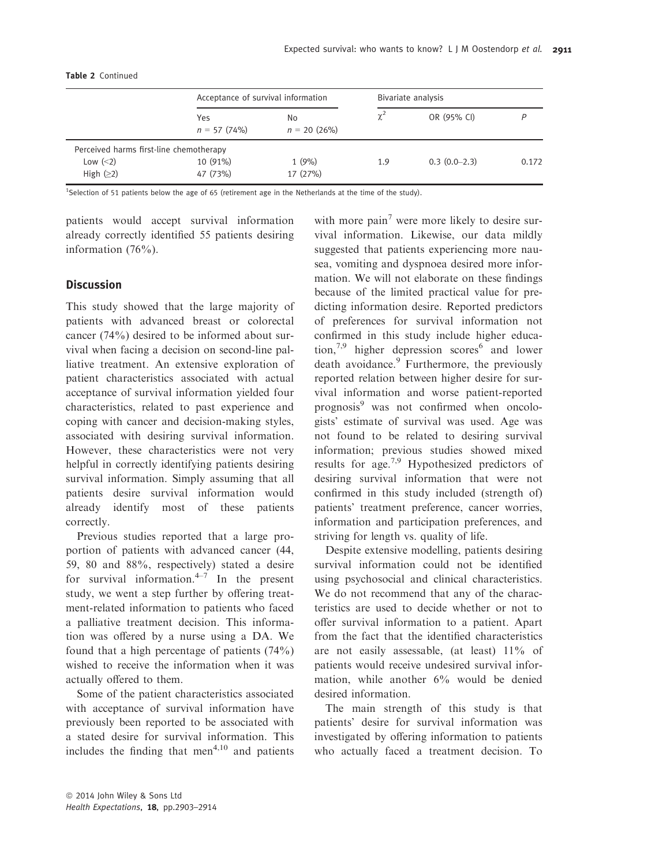|                                         |                      | Acceptance of survival information |            | Bivariate analysis |       |  |
|-----------------------------------------|----------------------|------------------------------------|------------|--------------------|-------|--|
|                                         | Yes<br>$n = 57(74%)$ | No.<br>$n = 20$ (26%)              | $\gamma^2$ | OR (95% CI)        |       |  |
| Perceived harms first-line chemotherapy |                      |                                    |            |                    |       |  |
| Low $(\leq 2)$                          | 10 (91%)             | 1(9%)                              | 1.9        | $0.3(0.0-2.3)$     | 0.172 |  |
| High $(≥2)$                             | 47 (73%)             | 17 (27%)                           |            |                    |       |  |

#### Table 2 Continued

<sup>1</sup>Selection of 51 patients below the age of 65 (retirement age in the Netherlands at the time of the study).

patients would accept survival information already correctly identified 55 patients desiring information (76%).

# **Discussion**

This study showed that the large majority of patients with advanced breast or colorectal cancer (74%) desired to be informed about survival when facing a decision on second-line palliative treatment. An extensive exploration of patient characteristics associated with actual acceptance of survival information yielded four characteristics, related to past experience and coping with cancer and decision-making styles, associated with desiring survival information. However, these characteristics were not very helpful in correctly identifying patients desiring survival information. Simply assuming that all patients desire survival information would already identify most of these patients correctly.

Previous studies reported that a large proportion of patients with advanced cancer (44, 59, 80 and 88%, respectively) stated a desire for survival information. $4-7$  In the present study, we went a step further by offering treatment-related information to patients who faced a palliative treatment decision. This information was offered by a nurse using a DA. We found that a high percentage of patients (74%) wished to receive the information when it was actually offered to them.

Some of the patient characteristics associated with acceptance of survival information have previously been reported to be associated with a stated desire for survival information. This includes the finding that men<sup> $4,10$ </sup> and patients with more pain<sup>7</sup> were more likely to desire survival information. Likewise, our data mildly suggested that patients experiencing more nausea, vomiting and dyspnoea desired more information. We will not elaborate on these findings because of the limited practical value for predicting information desire. Reported predictors of preferences for survival information not confirmed in this study include higher educa- $\[\text{tion},\]^{7,9}$  higher depression scores<sup>6</sup> and lower death avoidance.<sup>9</sup> Furthermore, the previously reported relation between higher desire for survival information and worse patient-reported prognosis<sup>9</sup> was not confirmed when oncologists' estimate of survival was used. Age was not found to be related to desiring survival information; previous studies showed mixed results for age.7,9 Hypothesized predictors of desiring survival information that were not confirmed in this study included (strength of) patients' treatment preference, cancer worries, information and participation preferences, and striving for length vs. quality of life.

Despite extensive modelling, patients desiring survival information could not be identified using psychosocial and clinical characteristics. We do not recommend that any of the characteristics are used to decide whether or not to offer survival information to a patient. Apart from the fact that the identified characteristics are not easily assessable, (at least) 11% of patients would receive undesired survival information, while another 6% would be denied desired information.

The main strength of this study is that patients' desire for survival information was investigated by offering information to patients who actually faced a treatment decision. To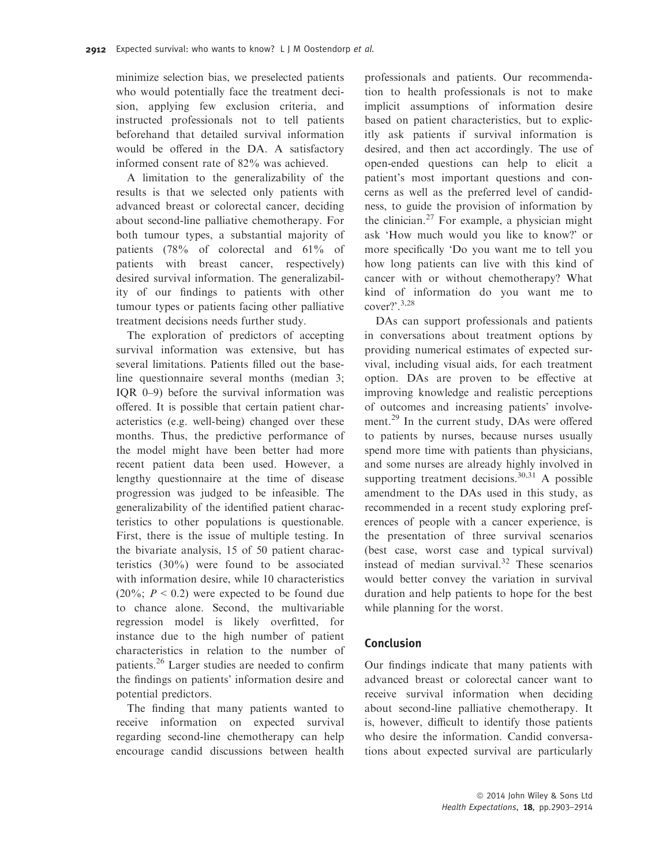minimize selection bias, we preselected patients who would potentially face the treatment decision, applying few exclusion criteria, and instructed professionals not to tell patients beforehand that detailed survival information would be offered in the DA. A satisfactory informed consent rate of 82% was achieved.

A limitation to the generalizability of the results is that we selected only patients with advanced breast or colorectal cancer, deciding about second-line palliative chemotherapy. For both tumour types, a substantial majority of patients (78% of colorectal and 61% of patients with breast cancer, respectively) desired survival information. The generalizability of our findings to patients with other tumour types or patients facing other palliative treatment decisions needs further study.

The exploration of predictors of accepting survival information was extensive, but has several limitations. Patients filled out the baseline questionnaire several months (median 3; IQR 0–9) before the survival information was offered. It is possible that certain patient characteristics (e.g. well-being) changed over these months. Thus, the predictive performance of the model might have been better had more recent patient data been used. However, a lengthy questionnaire at the time of disease progression was judged to be infeasible. The generalizability of the identified patient characteristics to other populations is questionable. First, there is the issue of multiple testing. In the bivariate analysis, 15 of 50 patient characteristics (30%) were found to be associated with information desire, while 10 characteristics (20%;  $P < 0.2$ ) were expected to be found due to chance alone. Second, the multivariable regression model is likely overfitted, for instance due to the high number of patient characteristics in relation to the number of patients.<sup>26</sup> Larger studies are needed to confirm the findings on patients' information desire and potential predictors.

The finding that many patients wanted to receive information on expected survival regarding second-line chemotherapy can help encourage candid discussions between health professionals and patients. Our recommendation to health professionals is not to make implicit assumptions of information desire based on patient characteristics, but to explicitly ask patients if survival information is desired, and then act accordingly. The use of open-ended questions can help to elicit a patient's most important questions and concerns as well as the preferred level of candidness, to guide the provision of information by the clinician.<sup>27</sup> For example, a physician might ask 'How much would you like to know?' or more specifically 'Do you want me to tell you how long patients can live with this kind of cancer with or without chemotherapy? What kind of information do you want me to cover?'.3,28

DAs can support professionals and patients in conversations about treatment options by providing numerical estimates of expected survival, including visual aids, for each treatment option. DAs are proven to be effective at improving knowledge and realistic perceptions of outcomes and increasing patients' involvement.<sup>29</sup> In the current study, DAs were offered to patients by nurses, because nurses usually spend more time with patients than physicians, and some nurses are already highly involved in supporting treatment decisions.<sup>30,31</sup> A possible amendment to the DAs used in this study, as recommended in a recent study exploring preferences of people with a cancer experience, is the presentation of three survival scenarios (best case, worst case and typical survival) instead of median survival. $32$  These scenarios would better convey the variation in survival duration and help patients to hope for the best while planning for the worst.

# Conclusion

Our findings indicate that many patients with advanced breast or colorectal cancer want to receive survival information when deciding about second-line palliative chemotherapy. It is, however, difficult to identify those patients who desire the information. Candid conversations about expected survival are particularly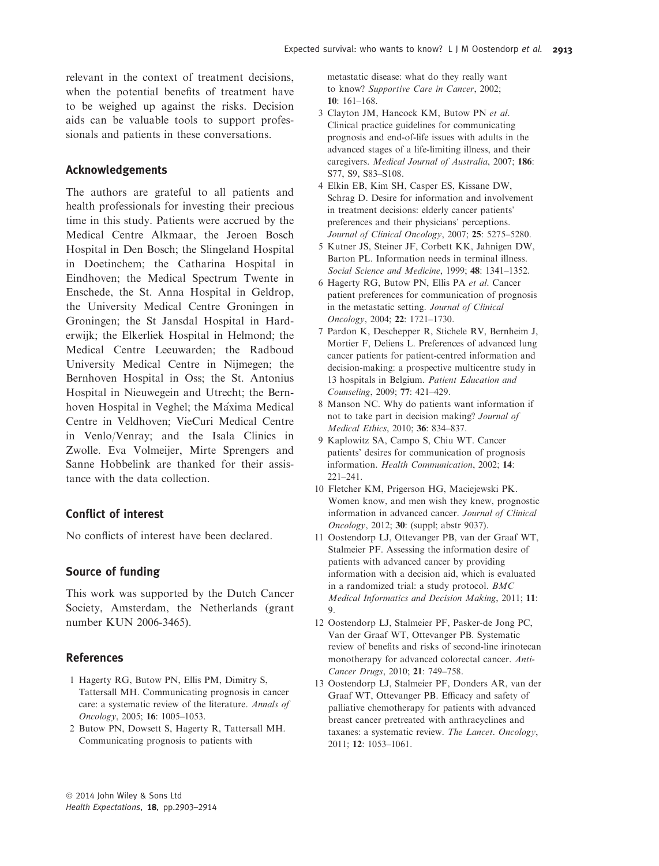relevant in the context of treatment decisions, when the potential benefits of treatment have to be weighed up against the risks. Decision aids can be valuable tools to support professionals and patients in these conversations.

## Acknowledgements

The authors are grateful to all patients and health professionals for investing their precious time in this study. Patients were accrued by the Medical Centre Alkmaar, the Jeroen Bosch Hospital in Den Bosch; the Slingeland Hospital in Doetinchem; the Catharina Hospital in Eindhoven; the Medical Spectrum Twente in Enschede, the St. Anna Hospital in Geldrop, the University Medical Centre Groningen in Groningen; the St Jansdal Hospital in Harderwijk; the Elkerliek Hospital in Helmond; the Medical Centre Leeuwarden; the Radboud University Medical Centre in Nijmegen; the Bernhoven Hospital in Oss; the St. Antonius Hospital in Nieuwegein and Utrecht; the Bernhoven Hospital in Veghel; the Máxima Medical Centre in Veldhoven; VieCuri Medical Centre in Venlo/Venray; and the Isala Clinics in Zwolle. Eva Volmeijer, Mirte Sprengers and Sanne Hobbelink are thanked for their assistance with the data collection.

## Conflict of interest

No conflicts of interest have been declared.

## Source of funding

This work was supported by the Dutch Cancer Society, Amsterdam, the Netherlands (grant number KUN 2006-3465).

## References

- 1 Hagerty RG, Butow PN, Ellis PM, Dimitry S, Tattersall MH. Communicating prognosis in cancer care: a systematic review of the literature. Annals of Oncology, 2005; 16: 1005–1053.
- 2 Butow PN, Dowsett S, Hagerty R, Tattersall MH. Communicating prognosis to patients with

metastatic disease: what do they really want to know? Supportive Care in Cancer, 2002; 10: 161–168.

- 3 Clayton JM, Hancock KM, Butow PN et al. Clinical practice guidelines for communicating prognosis and end-of-life issues with adults in the advanced stages of a life-limiting illness, and their caregivers. Medical Journal of Australia, 2007; 186: S77, S9, S83–S108.
- 4 Elkin EB, Kim SH, Casper ES, Kissane DW, Schrag D. Desire for information and involvement in treatment decisions: elderly cancer patients' preferences and their physicians' perceptions. Journal of Clinical Oncology, 2007; 25: 5275–5280.
- 5 Kutner JS, Steiner JF, Corbett KK, Jahnigen DW, Barton PL. Information needs in terminal illness. Social Science and Medicine, 1999; 48: 1341–1352.
- 6 Hagerty RG, Butow PN, Ellis PA et al. Cancer patient preferences for communication of prognosis in the metastatic setting. Journal of Clinical Oncology, 2004; 22: 1721–1730.
- 7 Pardon K, Deschepper R, Stichele RV, Bernheim J, Mortier F, Deliens L. Preferences of advanced lung cancer patients for patient-centred information and decision-making: a prospective multicentre study in 13 hospitals in Belgium. Patient Education and Counseling, 2009; 77: 421–429.
- 8 Manson NC. Why do patients want information if not to take part in decision making? Journal of Medical Ethics, 2010; 36: 834–837.
- 9 Kaplowitz SA, Campo S, Chiu WT. Cancer patients' desires for communication of prognosis information. Health Communication, 2002; 14: 221–241.
- 10 Fletcher KM, Prigerson HG, Maciejewski PK. Women know, and men wish they knew, prognostic information in advanced cancer. Journal of Clinical Oncology, 2012; 30: (suppl; abstr 9037).
- 11 Oostendorp LJ, Ottevanger PB, van der Graaf WT, Stalmeier PF. Assessing the information desire of patients with advanced cancer by providing information with a decision aid, which is evaluated in a randomized trial: a study protocol. BMC Medical Informatics and Decision Making, 2011; 11: 9.
- 12 Oostendorp LJ, Stalmeier PF, Pasker-de Jong PC, Van der Graaf WT, Ottevanger PB. Systematic review of benefits and risks of second-line irinotecan monotherapy for advanced colorectal cancer. Anti-Cancer Drugs, 2010; 21: 749–758.
- 13 Oostendorp LJ, Stalmeier PF, Donders AR, van der Graaf WT, Ottevanger PB. Efficacy and safety of palliative chemotherapy for patients with advanced breast cancer pretreated with anthracyclines and taxanes: a systematic review. The Lancet. Oncology, 2011; 12: 1053–1061.